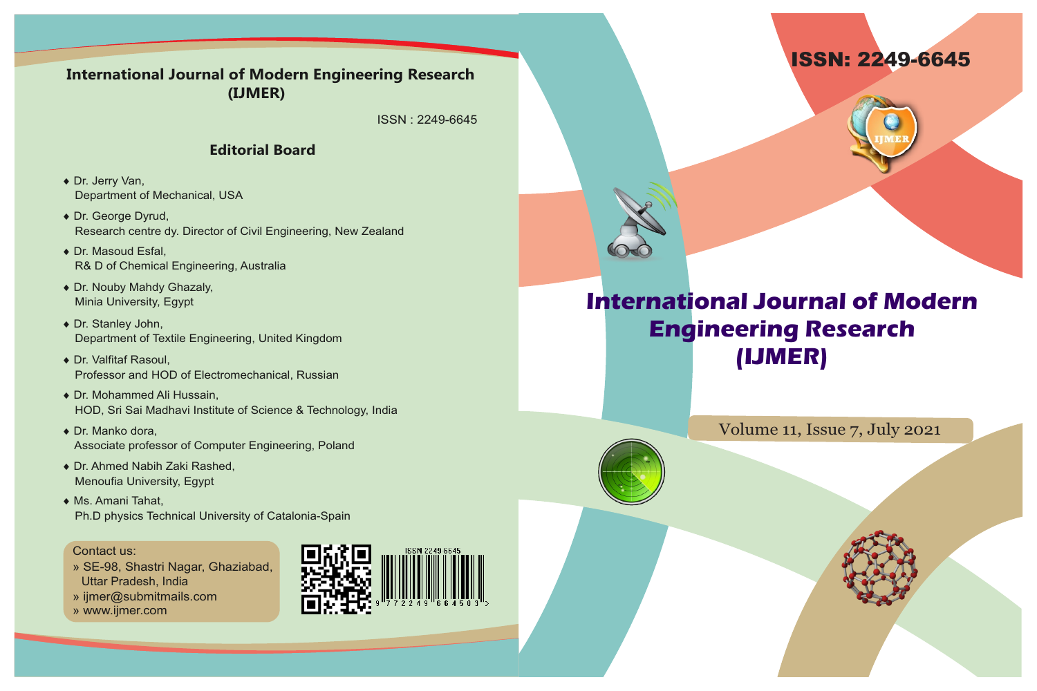



# **International Journal of Modern Engineering Research (IJMER)**

Volume 11, Issue 7, July 2021

### **International Journal of Modern Engineering Research (IJMER)**

ISSN : 2249-6645

#### **Editorial Board**

- ◆ Dr. Jerry Van, Department of Mechanical, USA
- ◆ Dr. George Dyrud, Research centre dy. Director of Civil Engineering, New Zealand
- ◆ Dr. Masoud Esfal, R& D of Chemical Engineering, Australia
- ◆ Dr. Nouby Mahdy Ghazaly, Minia University, Egypt
- ◆ Dr. Stanley John, Department of Textile Engineering, United Kingdom
- ◆ Dr. Valfitaf Rasoul, Professor and HOD of Electromechanical, Russian
- ◆ Dr. Mohammed Ali Hussain, HOD, Sri Sai Madhavi Institute of Science & Technology, India
- $\bullet$  Dr. Manko dora, Associate professor of Computer Engineering, Poland
- ◆ Dr. Ahmed Nabih Zaki Rashed, Menoufia University, Egypt
- ◆ Ms. Amani Tahat, Ph.D physics Technical University of Catalonia-Spain

#### Contact us:

- » SE-98, Shastri Nagar, Ghaziabad, Uttar Pradesh, India
- » ijmer@submitmails.com
- » www.ijmer.com